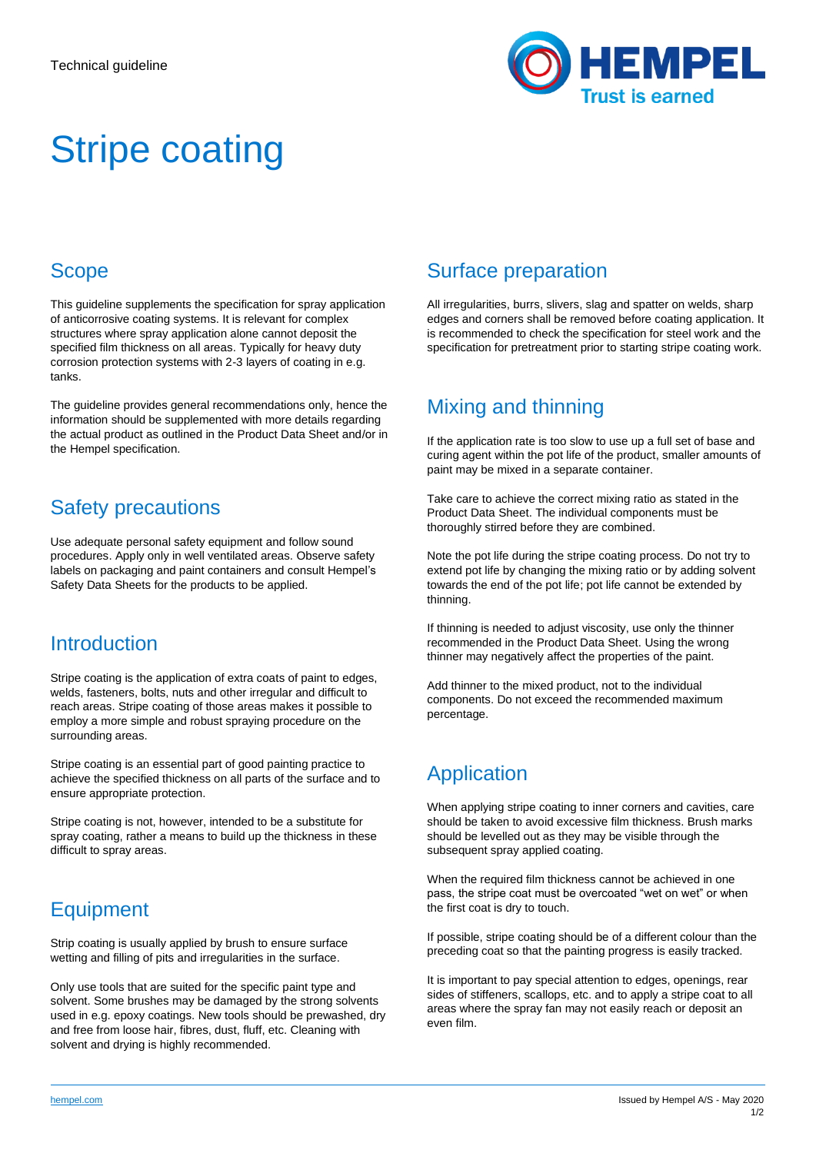

# Stripe coating

# Scope

This guideline supplements the specification for spray application of anticorrosive coating systems. It is relevant for complex structures where spray application alone cannot deposit the specified film thickness on all areas. Typically for heavy duty corrosion protection systems with 2-3 layers of coating in e.g. tanks.

The guideline provides general recommendations only, hence the information should be supplemented with more details regarding the actual product as outlined in the Product Data Sheet and/or in the Hempel specification.

# Safety precautions

Use adequate personal safety equipment and follow sound procedures. Apply only in well ventilated areas. Observe safety labels on packaging and paint containers and consult Hempel's Safety Data Sheets for the products to be applied.

#### **Introduction**

Stripe coating is the application of extra coats of paint to edges, welds, fasteners, bolts, nuts and other irregular and difficult to reach areas. Stripe coating of those areas makes it possible to employ a more simple and robust spraying procedure on the surrounding areas.

Stripe coating is an essential part of good painting practice to achieve the specified thickness on all parts of the surface and to ensure appropriate protection.

Stripe coating is not, however, intended to be a substitute for spray coating, rather a means to build up the thickness in these difficult to spray areas.

# Equipment

Strip coating is usually applied by brush to ensure surface wetting and filling of pits and irregularities in the surface.

Only use tools that are suited for the specific paint type and solvent. Some brushes may be damaged by the strong solvents used in e.g. epoxy coatings. New tools should be prewashed, dry and free from loose hair, fibres, dust, fluff, etc. Cleaning with solvent and drying is highly recommended.

#### Surface preparation

All irregularities, burrs, slivers, slag and spatter on welds, sharp edges and corners shall be removed before coating application. It is recommended to check the specification for steel work and the specification for pretreatment prior to starting stripe coating work.

# Mixing and thinning

If the application rate is too slow to use up a full set of base and curing agent within the pot life of the product, smaller amounts of paint may be mixed in a separate container.

Take care to achieve the correct mixing ratio as stated in the Product Data Sheet. The individual components must be thoroughly stirred before they are combined.

Note the pot life during the stripe coating process. Do not try to extend pot life by changing the mixing ratio or by adding solvent towards the end of the pot life; pot life cannot be extended by thinning.

If thinning is needed to adjust viscosity, use only the thinner recommended in the Product Data Sheet. Using the wrong thinner may negatively affect the properties of the paint.

Add thinner to the mixed product, not to the individual components. Do not exceed the recommended maximum percentage.

# Application

When applying stripe coating to inner corners and cavities, care should be taken to avoid excessive film thickness. Brush marks should be levelled out as they may be visible through the subsequent spray applied coating.

When the required film thickness cannot be achieved in one pass, the stripe coat must be overcoated "wet on wet" or when the first coat is dry to touch.

If possible, stripe coating should be of a different colour than the preceding coat so that the painting progress is easily tracked.

It is important to pay special attention to edges, openings, rear sides of stiffeners, scallops, etc. and to apply a stripe coat to all areas where the spray fan may not easily reach or deposit an even film.